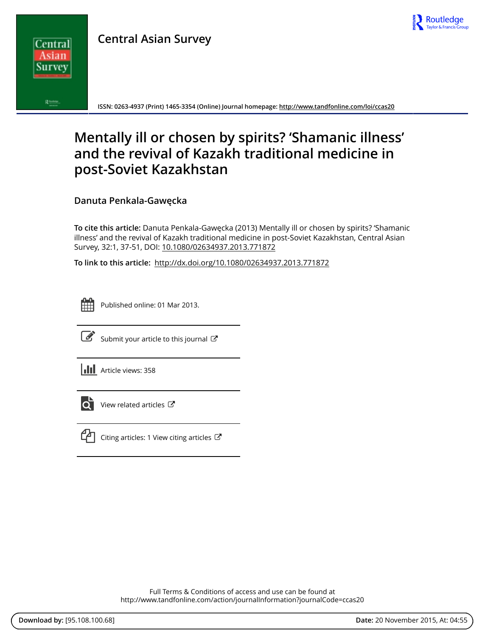

# **Central Asian Survey**



**ISSN: 0263-4937 (Print) 1465-3354 (Online) Journal homepage:<http://www.tandfonline.com/loi/ccas20>**

# **Mentally ill or chosen by spirits? 'Shamanic illness' and the revival of Kazakh traditional medicine in post-Soviet Kazakhstan**

**Danuta Penkala-Gawęcka**

**To cite this article:** Danuta Penkala-Gawęcka (2013) Mentally ill or chosen by spirits? 'Shamanic illness' and the revival of Kazakh traditional medicine in post-Soviet Kazakhstan, Central Asian Survey, 32:1, 37-51, DOI: [10.1080/02634937.2013.771872](http://www.tandfonline.com/action/showCitFormats?doi=10.1080/02634937.2013.771872)

**To link to this article:** <http://dx.doi.org/10.1080/02634937.2013.771872>



Published online: 01 Mar 2013.



 $\overline{\mathscr{L}}$  [Submit your article to this journal](http://www.tandfonline.com/action/authorSubmission?journalCode=ccas20&page=instructions)  $\mathbb{F}$ 





 $\overrightarrow{Q}$  [View related articles](http://www.tandfonline.com/doi/mlt/10.1080/02634937.2013.771872)  $\overrightarrow{C}$ 



 $\Box$  [Citing articles: 1 View citing articles](http://www.tandfonline.com/doi/citedby/10.1080/02634937.2013.771872#tabModule)  $\Box$ 

Full Terms & Conditions of access and use can be found at <http://www.tandfonline.com/action/journalInformation?journalCode=ccas20>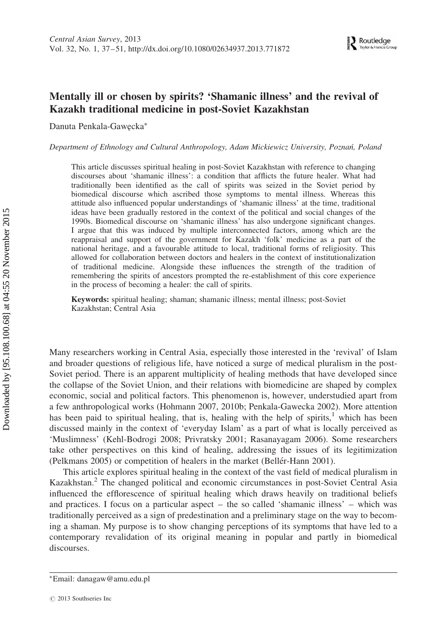# Mentally ill or chosen by spirits? 'Shamanic illness' and the revival of Kazakh traditional medicine in post-Soviet Kazakhstan

Danuta Penkala-Gawecka<sup>\*</sup>

Department of Ethnology and Cultural Anthropology, Adam Mickiewicz University, Poznan´, Poland

This article discusses spiritual healing in post-Soviet Kazakhstan with reference to changing discourses about 'shamanic illness': a condition that afflicts the future healer. What had traditionally been identified as the call of spirits was seized in the Soviet period by biomedical discourse which ascribed those symptoms to mental illness. Whereas this attitude also influenced popular understandings of 'shamanic illness' at the time, traditional ideas have been gradually restored in the context of the political and social changes of the 1990s. Biomedical discourse on 'shamanic illness' has also undergone significant changes. I argue that this was induced by multiple interconnected factors, among which are the reappraisal and support of the government for Kazakh 'folk' medicine as a part of the national heritage, and a favourable attitude to local, traditional forms of religiosity. This allowed for collaboration between doctors and healers in the context of institutionalization of traditional medicine. Alongside these influences the strength of the tradition of remembering the spirits of ancestors prompted the re-establishment of this core experience in the process of becoming a healer: the call of spirits.

Keywords: spiritual healing; shaman; shamanic illness; mental illness; post-Soviet Kazakhstan; Central Asia

Many researchers working in Central Asia, especially those interested in the 'revival' of Islam and broader questions of religious life, have noticed a surge of medical pluralism in the post-Soviet period. There is an apparent multiplicity of healing methods that have developed since the collapse of the Soviet Union, and their relations with biomedicine are shaped by complex economic, social and political factors. This phenomenon is, however, understudied apart from a few anthropological works (Hohmann 2007, 2010b; Penkala-Gawecka 2002). More attention has been paid to spiritual healing, that is, healing with the help of spirits, $\frac{1}{1}$  which has been discussed mainly in the context of 'everyday Islam' as a part of what is locally perceived as 'Muslimness' (Kehl-Bodrogi 2008; Privratsky 2001; Rasanayagam 2006). Some researchers take other perspectives on this kind of healing, addressing the issues of its legitimization (Pelkmans 2005) or competition of healers in the market (Bellér-Hann 2001).

This article explores spiritual healing in the context of the vast field of medical pluralism in Kazakhstan.<sup>2</sup> The changed political and economic circumstances in post-Soviet Central Asia influenced the efflorescence of spiritual healing which draws heavily on traditional beliefs and practices. I focus on a particular aspect – the so called 'shamanic illness' – which was traditionally perceived as a sign of predestination and a preliminary stage on the way to becoming a shaman. My purpose is to show changing perceptions of its symptoms that have led to a contemporary revalidation of its original meaning in popular and partly in biomedical discourses.

<sup>∗</sup>Email: danagaw@amu.edu.pl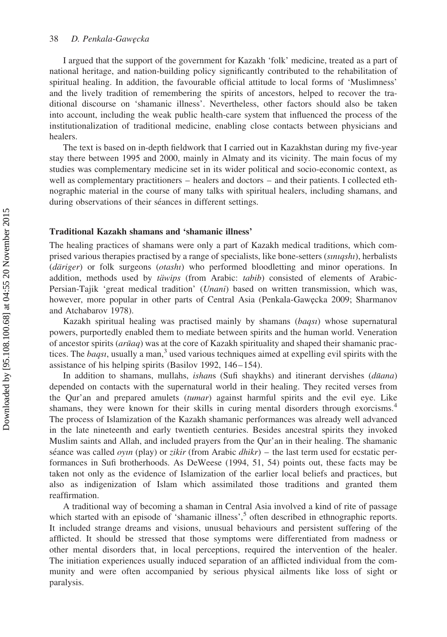I argued that the support of the government for Kazakh 'folk' medicine, treated as a part of national heritage, and nation-building policy significantly contributed to the rehabilitation of spiritual healing. In addition, the favourable official attitude to local forms of 'Muslimness' and the lively tradition of remembering the spirits of ancestors, helped to recover the traditional discourse on 'shamanic illness'. Nevertheless, other factors should also be taken into account, including the weak public health-care system that influenced the process of the institutionalization of traditional medicine, enabling close contacts between physicians and healers.

The text is based on in-depth fieldwork that I carried out in Kazakhstan during my five-year stay there between 1995 and 2000, mainly in Almaty and its vicinity. The main focus of my studies was complementary medicine set in its wider political and socio-economic context, as well as complementary practitioners – healers and doctors – and their patients. I collected ethnographic material in the course of many talks with spiritual healers, including shamans, and during observations of their séances in different settings.

### Traditional Kazakh shamans and 'shamanic illness'

The healing practices of shamans were only a part of Kazakh medical traditions, which comprised various therapies practised by a range of specialists, like bone-setters (sınıqshı), herbalists  $(d\ddot{a}riger)$  or folk surgeons  $(otash)$  who performed bloodletting and minor operations. In addition, methods used by täwips (from Arabic: tabib) consisted of elements of Arabic-Persian-Tajik 'great medical tradition' (Unani) based on written transmission, which was, however, more popular in other parts of Central Asia (Penkala-Gawęcka 2009; Sharmanov and Atchabarov 1978).

Kazakh spiritual healing was practised mainly by shamans (baqsı) whose supernatural powers, purportedly enabled them to mediate between spirits and the human world. Veneration of ancestor spirits ( $a\bar{r}a\bar{a}q$ ) was at the core of Kazakh spirituality and shaped their shamanic practices. The *baqsı*, usually a man, $3$  used various techniques aimed at expelling evil spirits with the assistance of his helping spirits (Basilov 1992, 146–154).

In addition to shamans, mullahs, *ishans* (Sufi shaykhs) and itinerant dervishes  $(d\bar{u}$ ana) depended on contacts with the supernatural world in their healing. They recited verses from the Qur'an and prepared amulets (tumar) against harmful spirits and the evil eye. Like shamans, they were known for their skills in curing mental disorders through exorcisms.<sup>4</sup> The process of Islamization of the Kazakh shamanic performances was already well advanced in the late nineteenth and early twentieth centuries. Besides ancestral spirits they invoked Muslim saints and Allah, and included prayers from the Qur'an in their healing. The shamanic séance was called *oyin* (play) or *zikir* (from Arabic *dhikr*) – the last term used for ecstatic performances in Sufi brotherhoods. As DeWeese (1994, 51, 54) points out, these facts may be taken not only as the evidence of Islamization of the earlier local beliefs and practices, but also as indigenization of Islam which assimilated those traditions and granted them reaffirmation.

A traditional way of becoming a shaman in Central Asia involved a kind of rite of passage which started with an episode of 'shamanic illness',<sup>5</sup> often described in ethnographic reports. It included strange dreams and visions, unusual behaviours and persistent suffering of the afflicted. It should be stressed that those symptoms were differentiated from madness or other mental disorders that, in local perceptions, required the intervention of the healer. The initiation experiences usually induced separation of an afflicted individual from the community and were often accompanied by serious physical ailments like loss of sight or paralysis.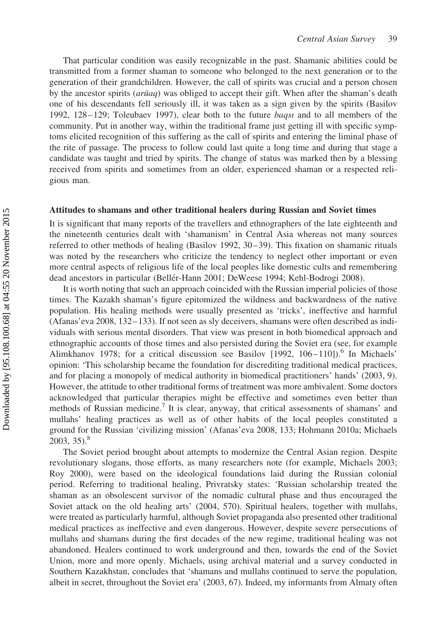That particular condition was easily recognizable in the past. Shamanic abilities could be transmitted from a former shaman to someone who belonged to the next generation or to the generation of their grandchildren. However, the call of spirits was crucial and a person chosen by the ancestor spirits ( $a\bar{r}\bar{a}aq$ ) was obliged to accept their gift. When after the shaman's death one of his descendants fell seriously ill, it was taken as a sign given by the spirits (Basilov 1992, 128 – 129; Toleubaev 1997), clear both to the future baqsı and to all members of the community. Put in another way, within the traditional frame just getting ill with specific symptoms elicited recognition of this suffering as the call of spirits and entering the liminal phase of the rite of passage. The process to follow could last quite a long time and during that stage a candidate was taught and tried by spirits. The change of status was marked then by a blessing received from spirits and sometimes from an older, experienced shaman or a respected religious man.

# Attitudes to shamans and other traditional healers during Russian and Soviet times

It is significant that many reports of the travellers and ethnographers of the late eighteenth and the nineteenth centuries dealt with 'shamanism' in Central Asia whereas not many sources referred to other methods of healing (Basilov 1992, 30 –39). This fixation on shamanic rituals was noted by the researchers who criticize the tendency to neglect other important or even more central aspects of religious life of the local peoples like domestic cults and remembering dead ancestors in particular (Bellér-Hann 2001; DeWeese 1994; Kehl-Bodrogi 2008).

It is worth noting that such an approach coincided with the Russian imperial policies of those times. The Kazakh shaman's figure epitomized the wildness and backwardness of the native population. His healing methods were usually presented as 'tricks', ineffective and harmful (Afanas'eva 2008, 132– 133). If not seen as sly deceivers, shamans were often described as individuals with serious mental disorders. That view was present in both biomedical approach and ethnographic accounts of those times and also persisted during the Soviet era (see, for example Alimkhanov 1978; for a critical discussion see Basilov  $[1992, 106 - 110]$ . In Michaels' opinion: 'This scholarship became the foundation for discrediting traditional medical practices, and for placing a monopoly of medical authority in biomedical practitioners' hands' (2003, 9). However, the attitude to other traditional forms of treatment was more ambivalent. Some doctors acknowledged that particular therapies might be effective and sometimes even better than methods of Russian medicine.<sup>7</sup> It is clear, anyway, that critical assessments of shamans' and mullahs' healing practices as well as of other habits of the local peoples constituted a ground for the Russian 'civilizing mission' (Afanas'eva 2008, 133; Hohmann 2010a; Michaels  $2003, 35$ .

The Soviet period brought about attempts to modernize the Central Asian region. Despite revolutionary slogans, those efforts, as many researchers note (for example, Michaels 2003; Roy 2000), were based on the ideological foundations laid during the Russian colonial period. Referring to traditional healing, Privratsky states: 'Russian scholarship treated the shaman as an obsolescent survivor of the nomadic cultural phase and thus encouraged the Soviet attack on the old healing arts' (2004, 570). Spiritual healers, together with mullahs, were treated as particularly harmful, although Soviet propaganda also presented other traditional medical practices as ineffective and even dangerous. However, despite severe persecutions of mullahs and shamans during the first decades of the new regime, traditional healing was not abandoned. Healers continued to work underground and then, towards the end of the Soviet Union, more and more openly. Michaels, using archival material and a survey conducted in Southern Kazakhstan, concludes that 'shamans and mullahs continued to serve the population, albeit in secret, throughout the Soviet era' (2003, 67). Indeed, my informants from Almaty often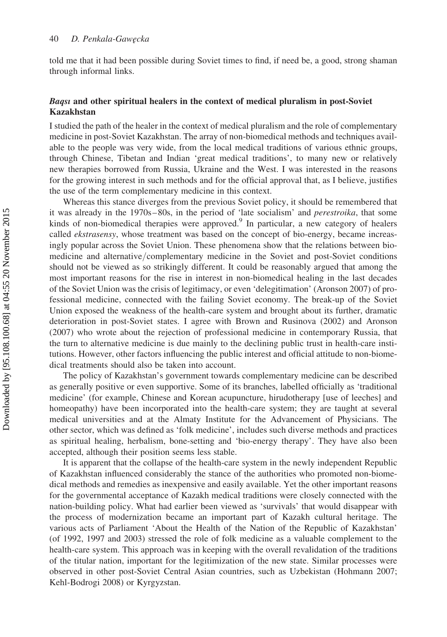told me that it had been possible during Soviet times to find, if need be, a good, strong shaman through informal links.

# Baqsı and other spiritual healers in the context of medical pluralism in post-Soviet Kazakhstan

I studied the path of the healer in the context of medical pluralism and the role of complementary medicine in post-Soviet Kazakhstan. The array of non-biomedical methods and techniques available to the people was very wide, from the local medical traditions of various ethnic groups, through Chinese, Tibetan and Indian 'great medical traditions', to many new or relatively new therapies borrowed from Russia, Ukraine and the West. I was interested in the reasons for the growing interest in such methods and for the official approval that, as I believe, justifies the use of the term complementary medicine in this context.

Whereas this stance diverges from the previous Soviet policy, it should be remembered that it was already in the 1970s–80s, in the period of 'late socialism' and *perestroika*, that some kinds of non-biomedical therapies were approved.<sup>9</sup> In particular, a new category of healers called *ekstrasensy*, whose treatment was based on the concept of bio-energy, became increasingly popular across the Soviet Union. These phenomena show that the relations between biomedicine and alternative/complementary medicine in the Soviet and post-Soviet conditions should not be viewed as so strikingly different. It could be reasonably argued that among the most important reasons for the rise in interest in non-biomedical healing in the last decades of the Soviet Union was the crisis of legitimacy, or even 'delegitimation' (Aronson 2007) of professional medicine, connected with the failing Soviet economy. The break-up of the Soviet Union exposed the weakness of the health-care system and brought about its further, dramatic deterioration in post-Soviet states. I agree with Brown and Rusinova (2002) and Aronson (2007) who wrote about the rejection of professional medicine in contemporary Russia, that the turn to alternative medicine is due mainly to the declining public trust in health-care institutions. However, other factors influencing the public interest and official attitude to non-biomedical treatments should also be taken into account.

The policy of Kazakhstan's government towards complementary medicine can be described as generally positive or even supportive. Some of its branches, labelled officially as 'traditional medicine' (for example, Chinese and Korean acupuncture, hirudotherapy [use of leeches] and homeopathy) have been incorporated into the health-care system; they are taught at several medical universities and at the Almaty Institute for the Advancement of Physicians. The other sector, which was defined as 'folk medicine', includes such diverse methods and practices as spiritual healing, herbalism, bone-setting and 'bio-energy therapy'. They have also been accepted, although their position seems less stable.

It is apparent that the collapse of the health-care system in the newly independent Republic of Kazakhstan influenced considerably the stance of the authorities who promoted non-biomedical methods and remedies as inexpensive and easily available. Yet the other important reasons for the governmental acceptance of Kazakh medical traditions were closely connected with the nation-building policy. What had earlier been viewed as 'survivals' that would disappear with the process of modernization became an important part of Kazakh cultural heritage. The various acts of Parliament 'About the Health of the Nation of the Republic of Kazakhstan' (of 1992, 1997 and 2003) stressed the role of folk medicine as a valuable complement to the health-care system. This approach was in keeping with the overall revalidation of the traditions of the titular nation, important for the legitimization of the new state. Similar processes were observed in other post-Soviet Central Asian countries, such as Uzbekistan (Hohmann 2007; Kehl-Bodrogi 2008) or Kyrgyzstan.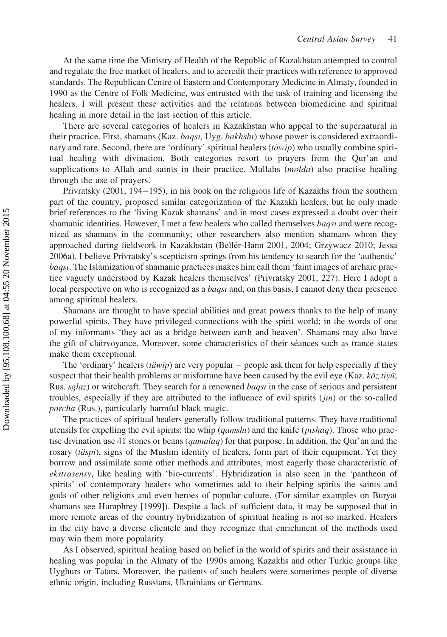At the same time the Ministry of Health of the Republic of Kazakhstan attempted to control and regulate the free market of healers, and to accredit their practices with reference to approved standards. The Republican Centre of Eastern and Contemporary Medicine in Almaty, founded in 1990 as the Centre of Folk Medicine, was entrusted with the task of training and licensing the healers. I will present these activities and the relations between biomedicine and spiritual healing in more detail in the last section of this article.

There are several categories of healers in Kazakhstan who appeal to the supernatural in their practice. First, shamans (Kaz. *baqsı*, Uyg. *bakhshi*) whose power is considered extraordinary and rare. Second, there are 'ordinary' spiritual healers  $(i\ddot{a}wip)$  who usually combine spiritual healing with divination. Both categories resort to prayers from the Qur'an and supplications to Allah and saints in their practice. Mullahs (molda) also practise healing through the use of prayers.

Privratsky (2001, 194 –195), in his book on the religious life of Kazakhs from the southern part of the country, proposed similar categorization of the Kazakh healers, but he only made brief references to the 'living Kazak shamans' and in most cases expressed a doubt over their shamanic identities. However, I met a few healers who called themselves *baqsi* and were recognized as shamans in the community; other researchers also mention shamans whom they approached during fieldwork in Kazakhstan (Bellér-Hann 2001, 2004; Grzywacz 2010; Jessa 2006a). I believe Privratsky's scepticism springs from his tendency to search for the 'authentic' baqsı. The Islamization of shamanic practices makes him call them 'faint images of archaic practice vaguely understood by Kazak healers themselves' (Privratsky 2001, 227). Here I adopt a local perspective on who is recognized as a *baqsı* and, on this basis, I cannot deny their presence among spiritual healers.

Shamans are thought to have special abilities and great powers thanks to the help of many powerful spirits. They have privileged connections with the spirit world; in the words of one of my informants 'they act as a bridge between earth and heaven'. Shamans may also have the gift of clairvoyance. Moreover, some characteristics of their séances such as trance states make them exceptional.

The 'ordinary' healers ( $t\ddot{a}wip$ ) are very popular – people ask them for help especially if they suspect that their health problems or misfortune have been caused by the evil eye (Kaz.  $k\ddot{o}z$  tiy $\ddot{u}$ ; Rus. sglaz) or witchcraft. They search for a renowned *baqsi* in the case of serious and persistent troubles, especially if they are attributed to the influence of evil spirits  $(jin)$  or the so-called porcha (Rus.), particularly harmful black magic.

The practices of spiritual healers generally follow traditional patterns. They have traditional utensils for expelling the evil spirits: the whip  $(qamsh)$  and the knife (*pishaq*). Those who practise divination use 41 stones or beans (*qumalaq*) for that purpose. In addition, the Qur'an and the rosary *(täspi)*, signs of the Muslim identity of healers, form part of their equipment. Yet they borrow and assimilate some other methods and attributes, most eagerly those characteristic of ekstrasensy, like healing with 'bio-currents'. Hybridization is also seen in the 'pantheon of spirits' of contemporary healers who sometimes add to their helping spirits the saints and gods of other religions and even heroes of popular culture. (For similar examples on Buryat shamans see Humphrey [1999]). Despite a lack of sufficient data, it may be supposed that in more remote areas of the country hybridization of spiritual healing is not so marked. Healers in the city have a diverse clientele and they recognize that enrichment of the methods used may win them more popularity.

As I observed, spiritual healing based on belief in the world of spirits and their assistance in healing was popular in the Almaty of the 1990s among Kazakhs and other Turkic groups like Uyghurs or Tatars. Moreover, the patients of such healers were sometimes people of diverse ethnic origin, including Russians, Ukrainians or Germans.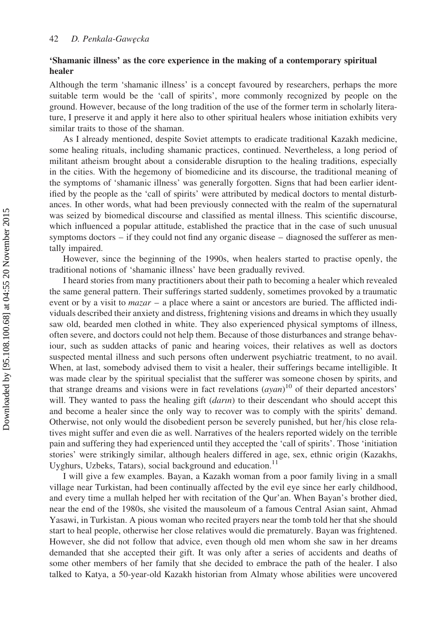# 'Shamanic illness' as the core experience in the making of a contemporary spiritual healer

Although the term 'shamanic illness' is a concept favoured by researchers, perhaps the more suitable term would be the 'call of spirits', more commonly recognized by people on the ground. However, because of the long tradition of the use of the former term in scholarly literature, I preserve it and apply it here also to other spiritual healers whose initiation exhibits very similar traits to those of the shaman.

As I already mentioned, despite Soviet attempts to eradicate traditional Kazakh medicine, some healing rituals, including shamanic practices, continued. Nevertheless, a long period of militant atheism brought about a considerable disruption to the healing traditions, especially in the cities. With the hegemony of biomedicine and its discourse, the traditional meaning of the symptoms of 'shamanic illness' was generally forgotten. Signs that had been earlier identified by the people as the 'call of spirits' were attributed by medical doctors to mental disturbances. In other words, what had been previously connected with the realm of the supernatural was seized by biomedical discourse and classified as mental illness. This scientific discourse, which influenced a popular attitude, established the practice that in the case of such unusual symptoms doctors – if they could not find any organic disease – diagnosed the sufferer as mentally impaired.

However, since the beginning of the 1990s, when healers started to practise openly, the traditional notions of 'shamanic illness' have been gradually revived.

I heard stories from many practitioners about their path to becoming a healer which revealed the same general pattern. Their sufferings started suddenly, sometimes provoked by a traumatic event or by a visit to  $maxar - a$  place where a saint or ancestors are buried. The afflicted individuals described their anxiety and distress, frightening visions and dreams in which they usually saw old, bearded men clothed in white. They also experienced physical symptoms of illness, often severe, and doctors could not help them. Because of those disturbances and strange behaviour, such as sudden attacks of panic and hearing voices, their relatives as well as doctors suspected mental illness and such persons often underwent psychiatric treatment, to no avail. When, at last, somebody advised them to visit a healer, their sufferings became intelligible. It was made clear by the spiritual specialist that the sufferer was someone chosen by spirits, and that strange dreams and visions were in fact revelations  $(ayan)^{10}$  of their departed ancestors' will. They wanted to pass the healing gift  $(darn)$  to their descendant who should accept this and become a healer since the only way to recover was to comply with the spirits' demand. Otherwise, not only would the disobedient person be severely punished, but her/his close relatives might suffer and even die as well. Narratives of the healers reported widely on the terrible pain and suffering they had experienced until they accepted the 'call of spirits'. Those 'initiation stories' were strikingly similar, although healers differed in age, sex, ethnic origin (Kazakhs, Uyghurs, Uzbeks, Tatars), social background and education.<sup>11</sup>

I will give a few examples. Bayan, a Kazakh woman from a poor family living in a small village near Turkistan, had been continually affected by the evil eye since her early childhood, and every time a mullah helped her with recitation of the Qur'an. When Bayan's brother died, near the end of the 1980s, she visited the mausoleum of a famous Central Asian saint, Ahmad Yasawi, in Turkistan. A pious woman who recited prayers near the tomb told her that she should start to heal people, otherwise her close relatives would die prematurely. Bayan was frightened. However, she did not follow that advice, even though old men whom she saw in her dreams demanded that she accepted their gift. It was only after a series of accidents and deaths of some other members of her family that she decided to embrace the path of the healer. I also talked to Katya, a 50-year-old Kazakh historian from Almaty whose abilities were uncovered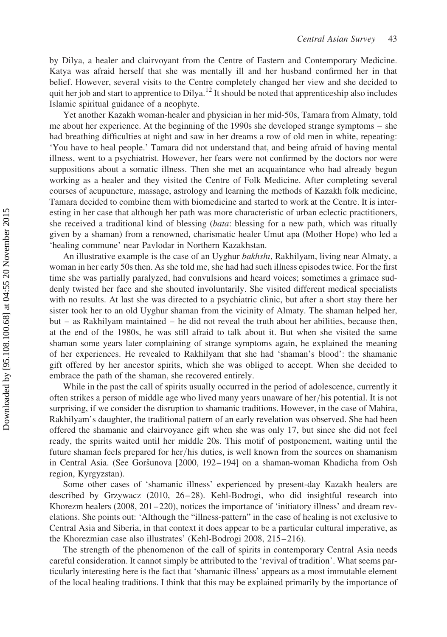by Dilya, a healer and clairvoyant from the Centre of Eastern and Contemporary Medicine. Katya was afraid herself that she was mentally ill and her husband confirmed her in that belief. However, several visits to the Centre completely changed her view and she decided to quit her job and start to apprentice to Dilya.<sup>12</sup> It should be noted that apprenticeship also includes Islamic spiritual guidance of a neophyte.

Yet another Kazakh woman-healer and physician in her mid-50s, Tamara from Almaty, told me about her experience. At the beginning of the 1990s she developed strange symptoms – she had breathing difficulties at night and saw in her dreams a row of old men in white, repeating: 'You have to heal people.' Tamara did not understand that, and being afraid of having mental illness, went to a psychiatrist. However, her fears were not confirmed by the doctors nor were suppositions about a somatic illness. Then she met an acquaintance who had already begun working as a healer and they visited the Centre of Folk Medicine. After completing several courses of acupuncture, massage, astrology and learning the methods of Kazakh folk medicine, Tamara decided to combine them with biomedicine and started to work at the Centre. It is interesting in her case that although her path was more characteristic of urban eclectic practitioners, she received a traditional kind of blessing (*bata*: blessing for a new path, which was ritually given by a shaman) from a renowned, charismatic healer Umut apa (Mother Hope) who led a 'healing commune' near Pavlodar in Northern Kazakhstan.

An illustrative example is the case of an Uyghur bakhshı, Rakhilyam, living near Almaty, a woman in her early 50s then. As she told me, she had had such illness episodes twice. For the first time she was partially paralyzed, had convulsions and heard voices; sometimes a grimace suddenly twisted her face and she shouted involuntarily. She visited different medical specialists with no results. At last she was directed to a psychiatric clinic, but after a short stay there her sister took her to an old Uyghur shaman from the vicinity of Almaty. The shaman helped her, but – as Rakhilyam maintained – he did not reveal the truth about her abilities, because then, at the end of the 1980s, he was still afraid to talk about it. But when she visited the same shaman some years later complaining of strange symptoms again, he explained the meaning of her experiences. He revealed to Rakhilyam that she had 'shaman's blood': the shamanic gift offered by her ancestor spirits, which she was obliged to accept. When she decided to embrace the path of the shaman, she recovered entirely.

While in the past the call of spirits usually occurred in the period of adolescence, currently it often strikes a person of middle age who lived many years unaware of her/his potential. It is not surprising, if we consider the disruption to shamanic traditions. However, in the case of Mahira, Rakhilyam's daughter, the traditional pattern of an early revelation was observed. She had been offered the shamanic and clairvoyance gift when she was only 17, but since she did not feel ready, the spirits waited until her middle 20s. This motif of postponement, waiting until the future shaman feels prepared for her/his duties, is well known from the sources on shamanism in Central Asia. (See Goršunova [2000, 192–194] on a shaman-woman Khadicha from Osh region, Kyrgyzstan).

Some other cases of 'shamanic illness' experienced by present-day Kazakh healers are described by Grzywacz (2010, 26–28). Kehl-Bodrogi, who did insightful research into Khorezm healers  $(2008, 201-220)$ , notices the importance of 'initiatory illness' and dream revelations. She points out: 'Although the "illness-pattern" in the case of healing is not exclusive to Central Asia and Siberia, in that context it does appear to be a particular cultural imperative, as the Khorezmian case also illustrates' (Kehl-Bodrogi 2008, 215 – 216).

The strength of the phenomenon of the call of spirits in contemporary Central Asia needs careful consideration. It cannot simply be attributed to the 'revival of tradition'. What seems particularly interesting here is the fact that 'shamanic illness' appears as a most immutable element of the local healing traditions. I think that this may be explained primarily by the importance of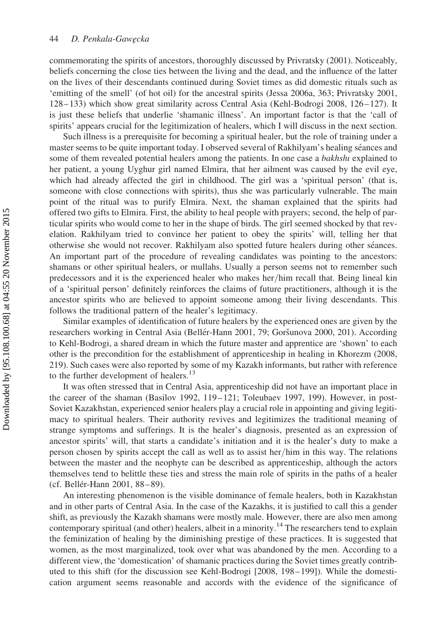commemorating the spirits of ancestors, thoroughly discussed by Privratsky (2001). Noticeably, beliefs concerning the close ties between the living and the dead, and the influence of the latter on the lives of their descendants continued during Soviet times as did domestic rituals such as 'emitting of the smell' (of hot oil) for the ancestral spirits (Jessa 2006a, 363; Privratsky 2001,  $128 - 133$ ) which show great similarity across Central Asia (Kehl-Bodrogi 2008,  $126 - 127$ ). It is just these beliefs that underlie 'shamanic illness'. An important factor is that the 'call of spirits' appears crucial for the legitimization of healers, which I will discuss in the next section.

Such illness is a prerequisite for becoming a spiritual healer, but the role of training under a master seems to be quite important today. I observed several of Rakhilyam's healing séances and some of them revealed potential healers among the patients. In one case a *bakhshi* explained to her patient, a young Uyghur girl named Elmira, that her ailment was caused by the evil eye, which had already affected the girl in childhood. The girl was a 'spiritual person' (that is, someone with close connections with spirits), thus she was particularly vulnerable. The main point of the ritual was to purify Elmira. Next, the shaman explained that the spirits had offered two gifts to Elmira. First, the ability to heal people with prayers; second, the help of particular spirits who would come to her in the shape of birds. The girl seemed shocked by that revelation. Rakhilyam tried to convince her patient to obey the spirits' will, telling her that otherwise she would not recover. Rakhilyam also spotted future healers during other séances. An important part of the procedure of revealing candidates was pointing to the ancestors: shamans or other spiritual healers, or mullahs. Usually a person seems not to remember such predecessors and it is the experienced healer who makes her/him recall that. Being lineal kin of a 'spiritual person' definitely reinforces the claims of future practitioners, although it is the ancestor spirits who are believed to appoint someone among their living descendants. This follows the traditional pattern of the healer's legitimacy.

Similar examples of identification of future healers by the experienced ones are given by the researchers working in Central Asia (Bellér-Hann 2001, 79; Goršunova 2000, 201). According to Kehl-Bodrogi, a shared dream in which the future master and apprentice are 'shown' to each other is the precondition for the establishment of apprenticeship in healing in Khorezm (2008, 219). Such cases were also reported by some of my Kazakh informants, but rather with reference to the further development of healers.<sup>13</sup>

It was often stressed that in Central Asia, apprenticeship did not have an important place in the career of the shaman (Basilov 1992, 119–121; Toleubaev 1997, 199). However, in post-Soviet Kazakhstan, experienced senior healers play a crucial role in appointing and giving legitimacy to spiritual healers. Their authority revives and legitimizes the traditional meaning of strange symptoms and sufferings. It is the healer's diagnosis, presented as an expression of ancestor spirits' will, that starts a candidate's initiation and it is the healer's duty to make a person chosen by spirits accept the call as well as to assist her/him in this way. The relations between the master and the neophyte can be described as apprenticeship, although the actors themselves tend to belittle these ties and stress the main role of spirits in the paths of a healer (cf. Bellér-Hann 2001, 88-89).

An interesting phenomenon is the visible dominance of female healers, both in Kazakhstan and in other parts of Central Asia. In the case of the Kazakhs, it is justified to call this a gender shift, as previously the Kazakh shamans were mostly male. However, there are also men among contemporary spiritual (and other) healers, albeit in a minority.<sup>14</sup> The researchers tend to explain the feminization of healing by the diminishing prestige of these practices. It is suggested that women, as the most marginalized, took over what was abandoned by the men. According to a different view, the 'domestication' of shamanic practices during the Soviet times greatly contributed to this shift (for the discussion see Kehl-Bodrogi [2008, 198– 199]). While the domestication argument seems reasonable and accords with the evidence of the significance of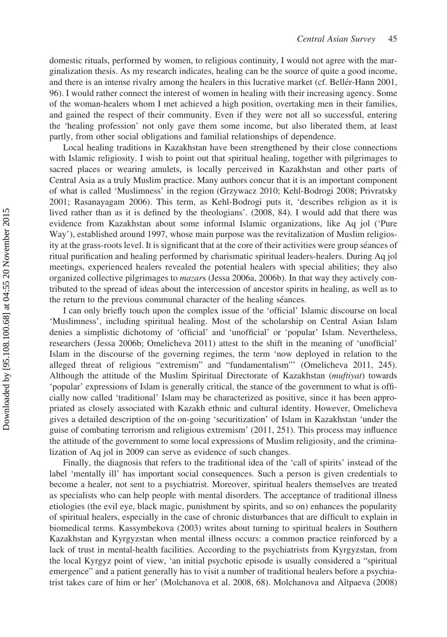domestic rituals, performed by women, to religious continuity, I would not agree with the marginalization thesis. As my research indicates, healing can be the source of quite a good income, and there is an intense rivalry among the healers in this lucrative market (cf. Bellér-Hann 2001, 96). I would rather connect the interest of women in healing with their increasing agency. Some of the woman-healers whom I met achieved a high position, overtaking men in their families, and gained the respect of their community. Even if they were not all so successful, entering the 'healing profession' not only gave them some income, but also liberated them, at least partly, from other social obligations and familial relationships of dependence.

Local healing traditions in Kazakhstan have been strengthened by their close connections with Islamic religiosity. I wish to point out that spiritual healing, together with pilgrimages to sacred places or wearing amulets, is locally perceived in Kazakhstan and other parts of Central Asia as a truly Muslim practice. Many authors concur that it is an important component of what is called 'Muslimness' in the region (Grzywacz 2010; Kehl-Bodrogi 2008; Privratsky 2001; Rasanayagam 2006). This term, as Kehl-Bodrogi puts it, 'describes religion as it is lived rather than as it is defined by the theologians'. (2008, 84). I would add that there was evidence from Kazakhstan about some informal Islamic organizations, like Aq jol ('Pure Way'), established around 1997, whose main purpose was the revitalization of Muslim religiosity at the grass-roots level. It is significant that at the core of their activities were group séances of ritual purification and healing performed by charismatic spiritual leaders-healers. During Aq jol meetings, experienced healers revealed the potential healers with special abilities; they also organized collective pilgrimages to *mazars* (Jessa 2006a, 2006b). In that way they actively contributed to the spread of ideas about the intercession of ancestor spirits in healing, as well as to the return to the previous communal character of the healing séances.

I can only briefly touch upon the complex issue of the 'official' Islamic discourse on local 'Muslimness', including spiritual healing. Most of the scholarship on Central Asian Islam denies a simplistic dichotomy of 'official' and 'unofficial' or 'popular' Islam. Nevertheless, researchers (Jessa 2006b; Omelicheva 2011) attest to the shift in the meaning of 'unofficial' Islam in the discourse of the governing regimes, the term 'now deployed in relation to the alleged threat of religious "extremism" and "fundamentalism"' (Omelicheva 2011, 245). Although the attitude of the Muslim Spiritual Directorate of Kazakhstan (muftiyat) towards 'popular' expressions of Islam is generally critical, the stance of the government to what is officially now called 'traditional' Islam may be characterized as positive, since it has been appropriated as closely associated with Kazakh ethnic and cultural identity. However, Omelicheva gives a detailed description of the on-going 'securitization' of Islam in Kazakhstan 'under the guise of combating terrorism and religious extremism' (2011, 251). This process may influence the attitude of the government to some local expressions of Muslim religiosity, and the criminalization of Aq jol in 2009 can serve as evidence of such changes.

Finally, the diagnosis that refers to the traditional idea of the 'call of spirits' instead of the label 'mentally ill' has important social consequences. Such a person is given credentials to become a healer, not sent to a psychiatrist. Moreover, spiritual healers themselves are treated as specialists who can help people with mental disorders. The acceptance of traditional illness etiologies (the evil eye, black magic, punishment by spirits, and so on) enhances the popularity of spiritual healers, especially in the case of chronic disturbances that are difficult to explain in biomedical terms. Kassymbekova (2003) writes about turning to spiritual healers in Southern Kazakhstan and Kyrgyzstan when mental illness occurs: a common practice reinforced by a lack of trust in mental-health facilities. According to the psychiatrists from Kyrgyzstan, from the local Kyrgyz point of view, 'an initial psychotic episode is usually considered a "spiritual emergence" and a patient generally has to visit a number of traditional healers before a psychiatrist takes care of him or her' (Molchanova et al. 2008, 68). Molchanova and Aĭtpaeva (2008)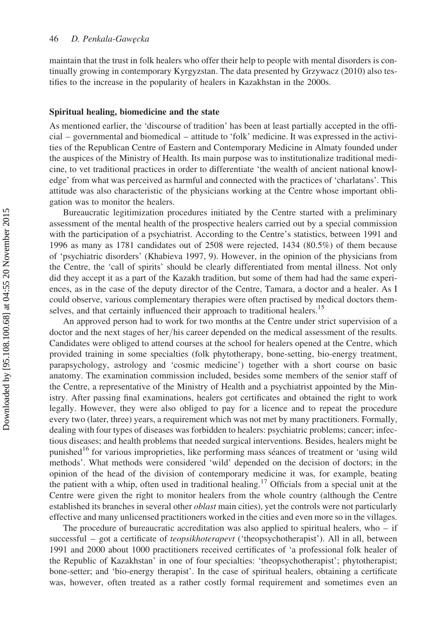maintain that the trust in folk healers who offer their help to people with mental disorders is continually growing in contemporary Kyrgyzstan. The data presented by Grzywacz (2010) also testifies to the increase in the popularity of healers in Kazakhstan in the 2000s.

#### Spiritual healing, biomedicine and the state

As mentioned earlier, the 'discourse of tradition' has been at least partially accepted in the official – governmental and biomedical – attitude to 'folk' medicine. It was expressed in the activities of the Republican Centre of Eastern and Contemporary Medicine in Almaty founded under the auspices of the Ministry of Health. Its main purpose was to institutionalize traditional medicine, to vet traditional practices in order to differentiate 'the wealth of ancient national knowledge' from what was perceived as harmful and connected with the practices of 'charlatans'. This attitude was also characteristic of the physicians working at the Centre whose important obligation was to monitor the healers.

Bureaucratic legitimization procedures initiated by the Centre started with a preliminary assessment of the mental health of the prospective healers carried out by a special commission with the participation of a psychiatrist. According to the Centre's statistics, between 1991 and 1996 as many as 1781 candidates out of 2508 were rejected, 1434 (80.5%) of them because of 'psychiatric disorders' (Khabieva 1997, 9). However, in the opinion of the physicians from the Centre, the 'call of spirits' should be clearly differentiated from mental illness. Not only did they accept it as a part of the Kazakh tradition, but some of them had had the same experiences, as in the case of the deputy director of the Centre, Tamara, a doctor and a healer. As I could observe, various complementary therapies were often practised by medical doctors themselves, and that certainly influenced their approach to traditional healers.<sup>15</sup>

An approved person had to work for two months at the Centre under strict supervision of a doctor and the next stages of her/his career depended on the medical assessment of the results. Candidates were obliged to attend courses at the school for healers opened at the Centre, which provided training in some specialties (folk phytotherapy, bone-setting, bio-energy treatment, parapsychology, astrology and 'cosmic medicine') together with a short course on basic anatomy. The examination commission included, besides some members of the senior staff of the Centre, a representative of the Ministry of Health and a psychiatrist appointed by the Ministry. After passing final examinations, healers got certificates and obtained the right to work legally. However, they were also obliged to pay for a licence and to repeat the procedure every two (later, three) years, a requirement which was not met by many practitioners. Formally, dealing with four types of diseases was forbidden to healers: psychiatric problems; cancer; infectious diseases; and health problems that needed surgical interventions. Besides, healers might be punished<sup>16</sup> for various improprieties, like performing mass séances of treatment or 'using wild methods'. What methods were considered 'wild' depended on the decision of doctors; in the opinion of the head of the division of contemporary medicine it was, for example, beating the patient with a whip, often used in traditional healing.<sup>17</sup> Officials from a special unit at the Centre were given the right to monitor healers from the whole country (although the Centre established its branches in several other *oblast* main cities), yet the controls were not particularly effective and many unlicensed practitioners worked in the cities and even more so in the villages.

The procedure of bureaucratic accreditation was also applied to spiritual healers, who  $-$  if successful – got a certificate of *teopsikhoterapevt* ('theopsychotherapist'). All in all, between 1991 and 2000 about 1000 practitioners received certificates of 'a professional folk healer of the Republic of Kazakhstan' in one of four specialties: 'theopsychotherapist'; phytotherapist; bone-setter; and 'bio-energy therapist'. In the case of spiritual healers, obtaining a certificate was, however, often treated as a rather costly formal requirement and sometimes even an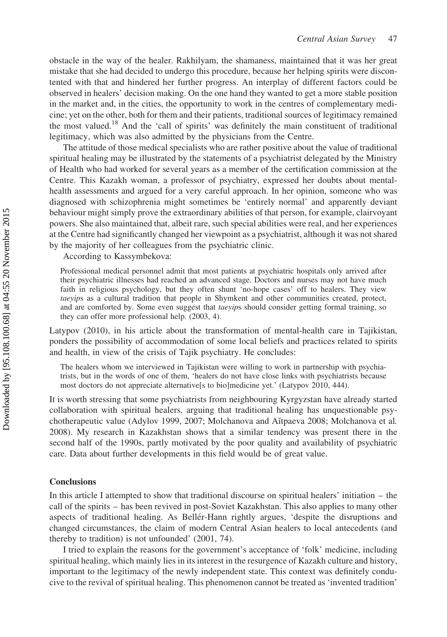obstacle in the way of the healer. Rakhilyam, the shamaness, maintained that it was her great mistake that she had decided to undergo this procedure, because her helping spirits were discontented with that and hindered her further progress. An interplay of different factors could be observed in healers' decision making. On the one hand they wanted to get a more stable position in the market and, in the cities, the opportunity to work in the centres of complementary medicine; yet on the other, both for them and their patients, traditional sources of legitimacy remained the most valued.<sup>18</sup> And the 'call of spirits' was definitely the main constituent of traditional legitimacy, which was also admitted by the physicians from the Centre.

The attitude of those medical specialists who are rather positive about the value of traditional spiritual healing may be illustrated by the statements of a psychiatrist delegated by the Ministry of Health who had worked for several years as a member of the certification commission at the Centre. This Kazakh woman, a professor of psychiatry, expressed her doubts about mentalhealth assessments and argued for a very careful approach. In her opinion, someone who was diagnosed with schizophrenia might sometimes be 'entirely normal' and apparently deviant behaviour might simply prove the extraordinary abilities of that person, for example, clairvoyant powers. She also maintained that, albeit rare, such special abilities were real, and her experiences at the Centre had significantly changed her viewpoint as a psychiatrist, although it was not shared by the majority of her colleagues from the psychiatric clinic.

According to Kassymbekova:

Professional medical personnel admit that most patients at psychiatric hospitals only arrived after their psychiatric illnesses had reached an advanced stage. Doctors and nurses may not have much faith in religious psychology, but they often shunt 'no-hope cases' off to healers. They view taeyips as a cultural tradition that people in Shymkent and other communities created, protect, and are comforted by. Some even suggest that *taeyips* should consider getting formal training, so they can offer more professional help. (2003, 4).

Latypov (2010), in his article about the transformation of mental-health care in Tajikistan, ponders the possibility of accommodation of some local beliefs and practices related to spirits and health, in view of the crisis of Tajik psychiatry. He concludes:

The healers whom we interviewed in Tajikistan were willing to work in partnership with psychiatrists, but in the words of one of them, 'healers do not have close links with psychiatrists because most doctors do not appreciate alternative[s to bio]medicine yet.' (Latypov 2010, 444).

It is worth stressing that some psychiatrists from neighbouring Kyrgyzstan have already started collaboration with spiritual healers, arguing that traditional healing has unquestionable psychotherapeutic value (Adylov 1999, 2007; Molchanova and Aı˘tpaeva 2008; Molchanova et al. 2008). My research in Kazakhstan shows that a similar tendency was present there in the second half of the 1990s, partly motivated by the poor quality and availability of psychiatric care. Data about further developments in this field would be of great value.

#### **Conclusions**

In this article I attempted to show that traditional discourse on spiritual healers' initiation – the call of the spirits – has been revived in post-Soviet Kazakhstan. This also applies to many other aspects of traditional healing. As Bellér-Hann rightly argues, 'despite the disruptions and changed circumstances, the claim of modern Central Asian healers to local antecedents (and thereby to tradition) is not unfounded' (2001, 74).

I tried to explain the reasons for the government's acceptance of 'folk' medicine, including spiritual healing, which mainly lies in its interest in the resurgence of Kazakh culture and history, important to the legitimacy of the newly independent state. This context was definitely conducive to the revival of spiritual healing. This phenomenon cannot be treated as 'invented tradition'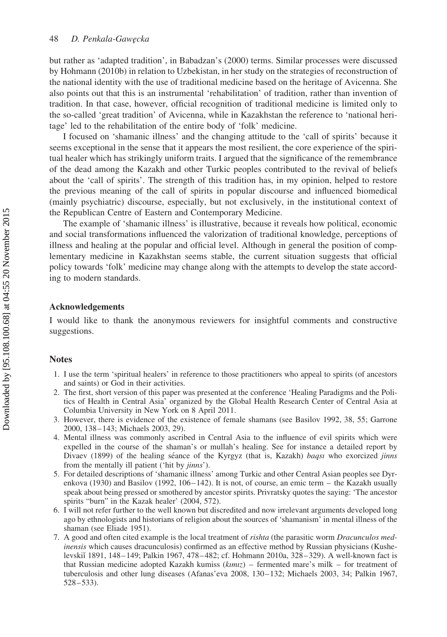but rather as 'adapted tradition', in Babadzan's (2000) terms. Similar processes were discussed by Hohmann (2010b) in relation to Uzbekistan, in her study on the strategies of reconstruction of the national identity with the use of traditional medicine based on the heritage of Avicenna. She also points out that this is an instrumental 'rehabilitation' of tradition, rather than invention of tradition. In that case, however, official recognition of traditional medicine is limited only to the so-called 'great tradition' of Avicenna, while in Kazakhstan the reference to 'national heritage' led to the rehabilitation of the entire body of 'folk' medicine.

I focused on 'shamanic illness' and the changing attitude to the 'call of spirits' because it seems exceptional in the sense that it appears the most resilient, the core experience of the spiritual healer which has strikingly uniform traits. I argued that the significance of the remembrance of the dead among the Kazakh and other Turkic peoples contributed to the revival of beliefs about the 'call of spirits'. The strength of this tradition has, in my opinion, helped to restore the previous meaning of the call of spirits in popular discourse and influenced biomedical (mainly psychiatric) discourse, especially, but not exclusively, in the institutional context of the Republican Centre of Eastern and Contemporary Medicine.

The example of 'shamanic illness' is illustrative, because it reveals how political, economic and social transformations influenced the valorization of traditional knowledge, perceptions of illness and healing at the popular and official level. Although in general the position of complementary medicine in Kazakhstan seems stable, the current situation suggests that official policy towards 'folk' medicine may change along with the attempts to develop the state according to modern standards.

### Acknowledgements

I would like to thank the anonymous reviewers for insightful comments and constructive suggestions.

# **Notes**

- 1. I use the term 'spiritual healers' in reference to those practitioners who appeal to spirits (of ancestors and saints) or God in their activities.
- 2. The first, short version of this paper was presented at the conference 'Healing Paradigms and the Politics of Health in Central Asia' organized by the Global Health Research Center of Central Asia at Columbia University in New York on 8 April 2011.
- 3. However, there is evidence of the existence of female shamans (see Basilov 1992, 38, 55; Garrone 2000, 138 –143; Michaels 2003, 29).
- 4. Mental illness was commonly ascribed in Central Asia to the influence of evil spirits which were expelled in the course of the shaman's or mullah's healing. See for instance a detailed report by Divaev (1899) of the healing séance of the Kyrgyz (that is, Kazakh) bagsi who exorcized jinns from the mentally ill patient ('hit by *jinns*').
- 5. For detailed descriptions of 'shamanic illness' among Turkic and other Central Asian peoples see Dyrenkova (1930) and Basilov (1992, 106–142). It is not, of course, an emic term – the Kazakh usually speak about being pressed or smothered by ancestor spirits. Privratsky quotes the saying: 'The ancestor spirits "burn" in the Kazak healer' (2004, 572).
- 6. I will not refer further to the well known but discredited and now irrelevant arguments developed long ago by ethnologists and historians of religion about the sources of 'shamanism' in mental illness of the shaman (see Eliade 1951).
- 7. A good and often cited example is the local treatment of rishta (the parasitic worm Dracunculos medinensis which causes dracunculosis) confirmed as an effective method by Russian physicians (Kushelevskiı˘ 1891, 148– 149; Palkin 1967, 478– 482; cf. Hohmann 2010a, 328 –329). A well-known fact is that Russian medicine adopted Kazakh kumiss (kımız) – fermented mare's milk – for treatment of tuberculosis and other lung diseases (Afanas'eva 2008, 130 –132; Michaels 2003, 34; Palkin 1967, 528 –533).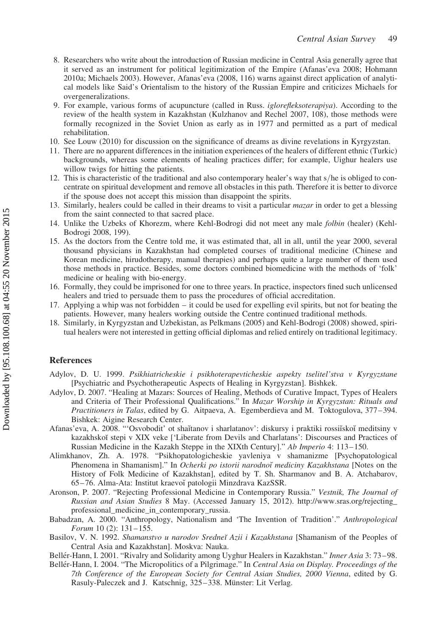- 8. Researchers who write about the introduction of Russian medicine in Central Asia generally agree that it served as an instrument for political legitimization of the Empire (Afanas'eva 2008; Hohmann 2010a; Michaels 2003). However, Afanas'eva (2008, 116) warns against direct application of analytical models like Said's Orientalism to the history of the Russian Empire and criticizes Michaels for overgeneralizations.
- 9. For example, various forms of acupuncture (called in Russ. iglorefleksoterapiya). According to the review of the health system in Kazakhstan (Kulzhanov and Rechel 2007, 108), those methods were formally recognized in the Soviet Union as early as in 1977 and permitted as a part of medical rehabilitation.
- 10. See Louw (2010) for discussion on the significance of dreams as divine revelations in Kyrgyzstan.
- 11. There are no apparent differences in the initiation experiences of the healers of different ethnic (Turkic) backgrounds, whereas some elements of healing practices differ; for example, Uighur healers use willow twigs for hitting the patients.
- 12. This is characteristic of the traditional and also contemporary healer's way that s/he is obliged to concentrate on spiritual development and remove all obstacles in this path. Therefore it is better to divorce if the spouse does not accept this mission than disappoint the spirits.
- 13. Similarly, healers could be called in their dreams to visit a particular *mazar* in order to get a blessing from the saint connected to that sacred place.
- 14. Unlike the Uzbeks of Khorezm, where Kehl-Bodrogi did not meet any male folbin (healer) (Kehl-Bodrogi 2008, 199).
- 15. As the doctors from the Centre told me, it was estimated that, all in all, until the year 2000, several thousand physicians in Kazakhstan had completed courses of traditional medicine (Chinese and Korean medicine, hirudotherapy, manual therapies) and perhaps quite a large number of them used those methods in practice. Besides, some doctors combined biomedicine with the methods of 'folk' medicine or healing with bio-energy.
- 16. Formally, they could be imprisoned for one to three years. In practice, inspectors fined such unlicensed healers and tried to persuade them to pass the procedures of official accreditation.
- 17. Applying a whip was not forbidden it could be used for expelling evil spirits, but not for beating the patients. However, many healers working outside the Centre continued traditional methods.
- 18. Similarly, in Kyrgyzstan and Uzbekistan, as Pelkmans (2005) and Kehl-Bodrogi (2008) showed, spiritual healers were not interested in getting official diplomas and relied entirely on traditional legitimacy.

# References

- Adylov, D. U. 1999. Psikhiatricheskie i psikhoterapevticheskie aspekty tselitel'stva v Kyrgyzstane [Psychiatric and Psychotherapeutic Aspects of Healing in Kyrgyzstan]. Bishkek.
- Adylov, D. 2007. "Healing at Mazars: Sources of Healing, Methods of Curative Impact, Types of Healers and Criteria of Their Professional Qualifications." In Mazar Worship in Kyrgyzstan: Rituals and Practitioners in Talas, edited by G. Aitpaeva, A. Egemberdieva and M. Toktogulova, 377–394. Bishkek: Aigine Research Center.
- Afanas'eva, A. 2008. "'Osvobodit' ot shaĭtanov i sharlatanov': diskursy i praktiki rossiĭskoĭ meditsiny v kazakhskoĭ stepi v XIX veke ['Liberate from Devils and Charlatans': Discourses and Practices of Russian Medicine in the Kazakh Steppe in the XIXth Century]." Ab Imperio 4: 113 –150.
- Alimkhanov, Zh. A. 1978. "Psikhopatologicheskie yavleniya v shamanizme [Psychopatological Phenomena in Shamanism]." In Ocherki po istorii narodnoĭ mediciny Kazakhstana [Notes on the History of Folk Medicine of Kazakhstan], edited by T. Sh. Sharmanov and B. A. Atchabarov, 65–76. Alma-Ata: Institut kraevoı˘ patologii Minzdrava KazSSR.
- Aronson, P. 2007. "Rejecting Professional Medicine in Contemporary Russia." Vestnik, The Journal of Russian and Asian Studies 8 May. (Accessed January 15, 2012). [http://www.sras.org/rejecting\\_](http://www.sras.org/rejecting_professional_medicine_in_contemporary_russia) [professional\\_medicine\\_in\\_contemporary\\_russia.](http://www.sras.org/rejecting_professional_medicine_in_contemporary_russia)
- Babadzan, A. 2000. "Anthropology, Nationalism and 'The Invention of Tradition'." Anthropological Forum 10 (2): 131-155.
- Basilov, V. N. 1992. Shamanstvo u narodov Sredneĭ Azii i Kazakhstana [Shamanism of the Peoples of Central Asia and Kazakhstan]. Moskva: Nauka.
- Bellér-Hann, I. 2001. "Rivalry and Solidarity among Uyghur Healers in Kazakhstan." *Inner Asia* 3: 73–98.
- Bellér-Hann, I. 2004. "The Micropolitics of a Pilgrimage." In Central Asia on Display. Proceedings of the 7th Conference of the European Society for Central Asian Studies, 2000 Vienna, edited by G. Rasuly-Paleczek and J. Katschnig, 325-338. Münster: Lit Verlag.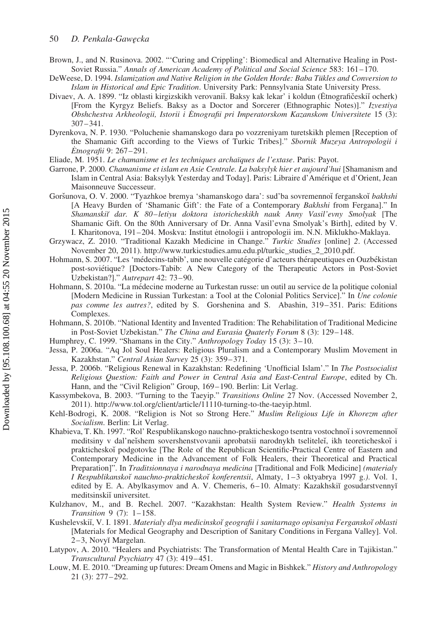- Brown, J., and N. Rusinova. 2002. "'Curing and Crippling': Biomedical and Alternative Healing in Post-Soviet Russia." Annals of American Academy of Political and Social Science 583: 161–170.
- DeWeese, D. 1994. Islamization and Native Religion in the Golden Horde: Baba Tükles and Conversion to Islam in Historical and Epic Tradition. University Park: Pennsylvania State University Press.
- Divaev, A. A. 1899. "Iz oblasti kirgizskikh verovaniı̆. Baksy kak lekar' i koldun (Etnografičeskiı̆ ocherk) [From the Kyrgyz Beliefs. Baksy as a Doctor and Sorcerer (Ethnographic Notes)]." Izvestiya Obshchestva Arkheologii, Istorii i Etnografii pri Imperatorskom Kazanskom Universitete 15 (3): 307– 341.
- Dyrenkova, N. P. 1930. "Poluchenie shamanskogo dara po vozzreniyam turetskikh plemen [Reception of the Shamanic Gift according to the Views of Turkic Tribes]." Sbornik Muzeya Antropologii i E˙tnografii 9: 267 –291.
- Eliade, M. 1951. Le chamanisme et les techniques archaïques de l'extase. Paris: Payot.
- Garrone, P. 2000. Chamanisme et islam en Asie Centrale. La baksylyk hier et aujourd'hui [Shamanism and Islam in Central Asia: Baksylyk Yesterday and Today]. Paris: Libraire d'Amérique et d'Orient, Jean Maisonneuve Successeur.
- Goršunova, O. V. 2000. "Tyazhkoe bremya 'shamanskogo dara': sud'ba sovremennoĭ ferganskoĭ bakhshi [A Heavy Burden of 'Shamanic Gift': the Fate of a Contemporary Bakhshi from Fergana]." In Shamanskiĭ dar. K 80–letiyu doktora istoricheskikh nauk Anny Vasil'evny Smolyak [The Shamanic Gift. On the 80th Anniversary of Dr. Anna Vasil'evna Smolyak's Birth], edited by V. I. Kharitonova, 191 –204. Moskva: Institut e˙tnologii i antropologii im. N.N. Miklukho-Maklaya.
- Grzywacz, Z. 2010. "Traditional Kazakh Medicine in Change." Turkic Studies [online] 2. (Accessed November 20, 2011). [http://www.turkicstudies.amu.edu.pl/turkic\\_studies\\_2\\_2010.pdf.](http://www.turkicstudies.amu.edu.pl/turkic_studies_2_2010.pdf)
- Hohmann, S. 2007. "Les 'médecins-tabib', une nouvelle catégorie d'acteurs thérapeutiques en Ouzbékistan post-soviétique? [Doctors-Tabib: A New Category of the Therapeutic Actors in Post-Soviet Uzbekistan?]." Autrepart 42: 73–90.
- Hohmann, S. 2010a. "La médecine moderne au Turkestan russe: un outil au service de la politique colonial [Modern Medicine in Russian Turkestan: a Tool at the Colonial Politics Service]." In Une colonie pas comme les autres?, edited by S. Gorshenina and S. Abashin, 319-351. Paris: Editions Complexes.
- Hohmann, S. 2010b. "National Identity and Invented Tradition: The Rehabilitation of Traditional Medicine in Post-Soviet Uzbekistan." The China and Eurasia Quaterly Forum 8 (3): 129-148.
- Humphrey, C. 1999. "Shamans in the City." Anthropology Today 15 (3): 3-10.
- Jessa, P. 2006a. "Aq Jol Soul Healers: Religious Pluralism and a Contemporary Muslim Movement in Kazakhstan." Central Asian Survey 25 (3): 359-371.
- Jessa, P. 2006b. "Religious Renewal in Kazakhstan: Redefining 'Unofficial Islam'." In The Postsocialist Religious Question: Faith and Power in Central Asia and East-Central Europe, edited by Ch. Hann, and the "Civil Religion" Group, 169-190. Berlin: Lit Verlag.
- Kassymbekova, B. 2003. "Turning to the Taeyip." Transitions Online 27 Nov. (Accessed November 2, 2011). [http://www.tol.org/client/article/11110-turning-to-the-taeyip.html.](http://www.tol.org/client/article/11110-turning-to-the-taeyip.html)
- Kehl-Bodrogi, K. 2008. "Religion is Not so Strong Here." Muslim Religious Life in Khorezm after Socialism. Berlin: Lit Verlag.
- Khabieva, T. Kh. 1997. "Rol' Respublikanskogo nauchno-prakticheskogo tsentra vostochnoĭ i sovremennoĭ meditsiny v dal'neĭshem sovershenstvovanii aprobatsii narodnykh tseliteleĭ, ikh teoreticheskoĭ i prakticheskoı˘ podgotovke [The Role of the Republican Scientific-Practical Centre of Eastern and Contemporary Medicine in the Advancement of Folk Healers, their Theoretical and Practical Preparation]". In Traditsionnaya i narodnaya medicina [Traditional and Folk Medicine] (materialy I Respublikanskoı˘ nauchno-prakticheskoı˘ konferentsii, Almaty, 1–3 oktyabrya 1997 g.). Vol. 1, edited by E. A. Abylkasymov and A. V. Chemeris, 6–10. Almaty: Kazakhskiĭ gosudarstvennyĭ meditsinskii<sup>v</sup> universitet.
- Kulzhanov, M., and B. Rechel. 2007. "Kazakhstan: Health System Review." Health Systems in Transition 9 (7): 1–158.
- Kushelevskiı̆, V. I. 1891. Materialy dlya medicinskoı̆ geografii i sanitarnago opisaniya Ferganskoı̆ oblasti [Materials for Medical Geography and Description of Sanitary Conditions in Fergana Valley]. Vol. 2–3, Novyĭ Margelan.
- Latypov, A. 2010. "Healers and Psychiatrists: The Transformation of Mental Health Care in Tajikistan." Transcultural Psychiatry 47 (3): 419–451.
- Louw, M. E. 2010. "Dreaming up futures: Dream Omens and Magic in Bishkek." History and Anthropology 21 (3): 277 –292.